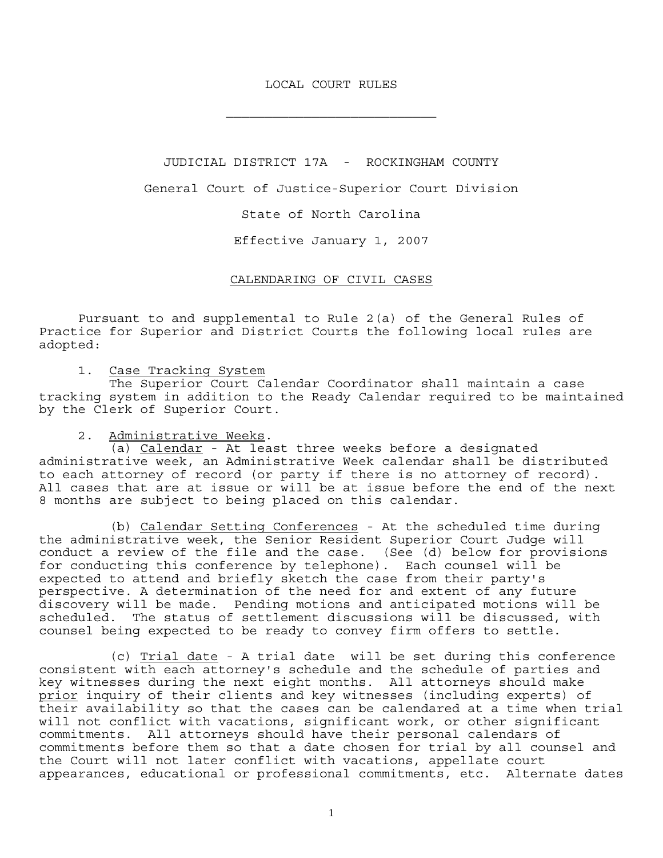### LOCAL COURT RULES

JUDICIAL DISTRICT 17A - ROCKINGHAM COUNTY

General Court of Justice-Superior Court Division

State of North Carolina

Effective January 1, 2007

# CALENDARING OF CIVIL CASES

 Pursuant to and supplemental to Rule 2(a) of the General Rules of Practice for Superior and District Courts the following local rules are adopted:

1. Case Tracking System

 The Superior Court Calendar Coordinator shall maintain a case tracking system in addition to the Ready Calendar required to be maintained by the Clerk of Superior Court.

2. <u>Administrative Weeks</u>.<br>(a) Calendar - At least three weeks before a designated administrative week, an Administrative Week calendar shall be distributed to each attorney of record (or party if there is no attorney of record). All cases that are at issue or will be at issue before the end of the next 8 months are subject to being placed on this calendar.

 (b) Calendar Setting Conferences - At the scheduled time during the administrative week, the Senior Resident Superior Court Judge will conduct a review of the file and the case. (See (d) below for provisions for conducting this conference by telephone). Each counsel will be expected to attend and briefly sketch the case from their party's perspective. A determination of the need for and extent of any future discovery will be made. Pending motions and anticipated motions will be scheduled. The status of settlement discussions will be discussed, with counsel being expected to be ready to convey firm offers to settle.

 (c) Trial date - A trial date will be set during this conference consistent with each attorney's schedule and the schedule of parties and key witnesses during the next eight months. All attorneys should make prior inquiry of their clients and key witnesses (including experts) of their availability so that the cases can be calendared at a time when trial will not conflict with vacations, significant work, or other significant commitments. All attorneys should have their personal calendars of commitments before them so that a date chosen for trial by all counsel and the Court will not later conflict with vacations, appellate court appearances, educational or professional commitments, etc. Alternate dates

1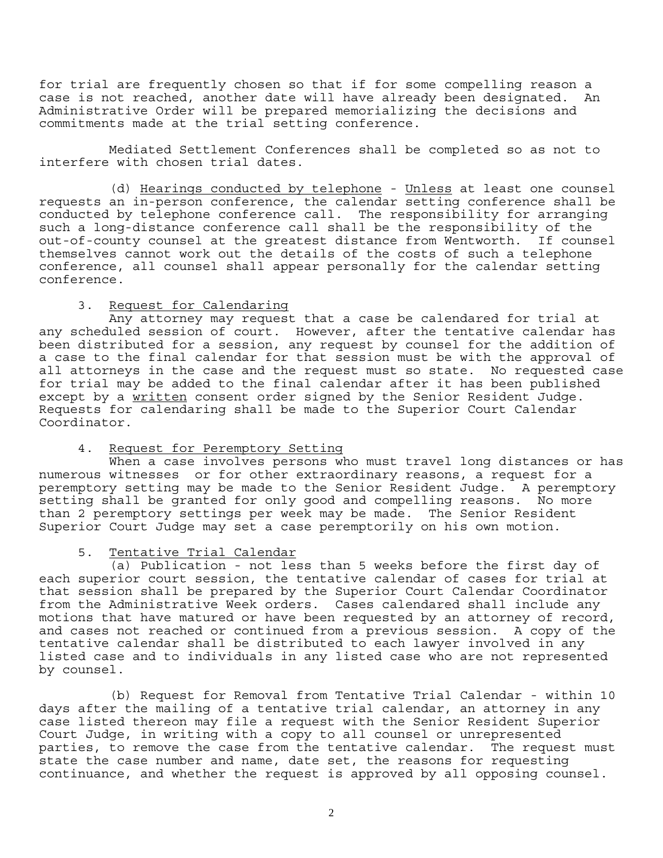for trial are frequently chosen so that if for some compelling reason a case is not reached, another date will have already been designated. An Administrative Order will be prepared memorializing the decisions and commitments made at the trial setting conference.

 Mediated Settlement Conferences shall be completed so as not to interfere with chosen trial dates.

(d) Hearings conducted by telephone - Unless at least one counsel requests an in-person conference, the calendar setting conference shall be conducted by telephone conference call. The responsibility for arranging such a long-distance conference call shall be the responsibility of the out-of-county counsel at the greatest distance from Wentworth. If counsel themselves cannot work out the details of the costs of such a telephone conference, all counsel shall appear personally for the calendar setting conference.

# 3. Request for Calendaring

 Any attorney may request that a case be calendared for trial at any scheduled session of court. However, after the tentative calendar has been distributed for a session, any request by counsel for the addition of a case to the final calendar for that session must be with the approval of all attorneys in the case and the request must so state. No requested case for trial may be added to the final calendar after it has been published except by a written consent order signed by the Senior Resident Judge. Requests for calendaring shall be made to the Superior Court Calendar Coordinator.

# 4. Request for Peremptory Setting

 When a case involves persons who must travel long distances or has numerous witnesses or for other extraordinary reasons, a request for a peremptory setting may be made to the Senior Resident Judge. A peremptory setting shall be granted for only good and compelling reasons. No more than 2 peremptory settings per week may be made. The Senior Resident Superior Court Judge may set a case peremptorily on his own motion.

### 5. Tentative Trial Calendar

 (a) Publication - not less than 5 weeks before the first day of each superior court session, the tentative calendar of cases for trial at that session shall be prepared by the Superior Court Calendar Coordinator from the Administrative Week orders. Cases calendared shall include any motions that have matured or have been requested by an attorney of record, and cases not reached or continued from a previous session. A copy of the tentative calendar shall be distributed to each lawyer involved in any listed case and to individuals in any listed case who are not represented by counsel.

 (b) Request for Removal from Tentative Trial Calendar - within 10 days after the mailing of a tentative trial calendar, an attorney in any case listed thereon may file a request with the Senior Resident Superior Court Judge, in writing with a copy to all counsel or unrepresented parties, to remove the case from the tentative calendar. The request must state the case number and name, date set, the reasons for requesting continuance, and whether the request is approved by all opposing counsel.

2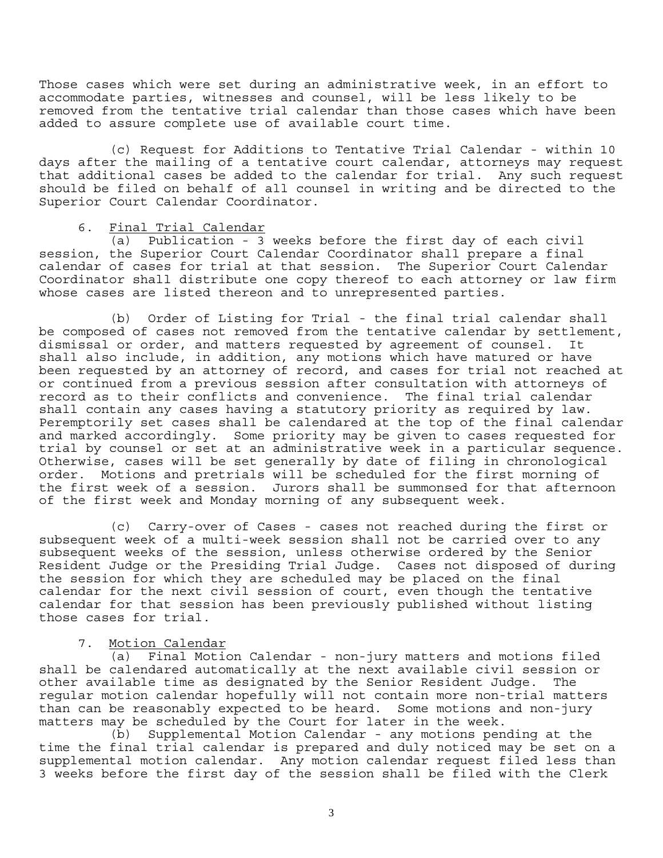Those cases which were set during an administrative week, in an effort to accommodate parties, witnesses and counsel, will be less likely to be removed from the tentative trial calendar than those cases which have been added to assure complete use of available court time.

 (c) Request for Additions to Tentative Trial Calendar - within 10 days after the mailing of a tentative court calendar, attorneys may request that additional cases be added to the calendar for trial. Any such request should be filed on behalf of all counsel in writing and be directed to the Superior Court Calendar Coordinator.

### 6. Final Trial Calendar

 (a) Publication - 3 weeks before the first day of each civil session, the Superior Court Calendar Coordinator shall prepare a final calendar of cases for trial at that session. The Superior Court Calendar Coordinator shall distribute one copy thereof to each attorney or law firm whose cases are listed thereon and to unrepresented parties.

 (b) Order of Listing for Trial - the final trial calendar shall be composed of cases not removed from the tentative calendar by settlement, dismissal or order, and matters requested by agreement of counsel. It shall also include, in addition, any motions which have matured or have been requested by an attorney of record, and cases for trial not reached at or continued from a previous session after consultation with attorneys of record as to their conflicts and convenience. The final trial calendar shall contain any cases having a statutory priority as required by law. Peremptorily set cases shall be calendared at the top of the final calendar and marked accordingly. Some priority may be given to cases requested for trial by counsel or set at an administrative week in a particular sequence. Otherwise, cases will be set generally by date of filing in chronological order. Motions and pretrials will be scheduled for the first morning of the first week of a session. Jurors shall be summonsed for that afternoon of the first week and Monday morning of any subsequent week.

 (c) Carry-over of Cases - cases not reached during the first or subsequent week of a multi-week session shall not be carried over to any subsequent weeks of the session, unless otherwise ordered by the Senior Resident Judge or the Presiding Trial Judge. Cases not disposed of during the session for which they are scheduled may be placed on the final calendar for the next civil session of court, even though the tentative calendar for that session has been previously published without listing those cases for trial.

### 7. Motion Calendar

 (a) Final Motion Calendar - non-jury matters and motions filed shall be calendared automatically at the next available civil session or other available time as designated by the Senior Resident Judge. The regular motion calendar hopefully will not contain more non-trial matters than can be reasonably expected to be heard. Some motions and non-jury matters may be scheduled by the Court for later in the week.

 (b) Supplemental Motion Calendar - any motions pending at the time the final trial calendar is prepared and duly noticed may be set on a supplemental motion calendar. Any motion calendar request filed less than 3 weeks before the first day of the session shall be filed with the Clerk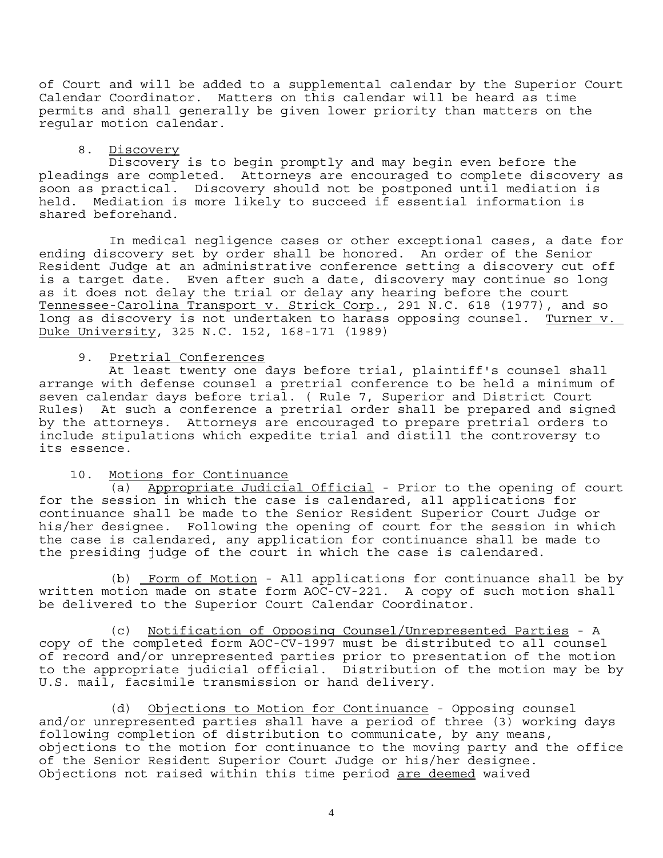of Court and will be added to a supplemental calendar by the Superior Court Calendar Coordinator. Matters on this calendar will be heard as time permits and shall generally be given lower priority than matters on the regular motion calendar.

8. <u>Discovery</u><br>Discovery is to begin promptly and may begin even before the pleadings are completed. Attorneys are encouraged to complete discovery as soon as practical. Discovery should not be postponed until mediation is held. Mediation is more likely to succeed if essential information is shared beforehand.

 In medical negligence cases or other exceptional cases, a date for ending discovery set by order shall be honored. An order of the Senior Resident Judge at an administrative conference setting a discovery cut off is a target date. Even after such a date, discovery may continue so long as it does not delay the trial or delay any hearing before the court Tennessee-Carolina Transport v. Strick Corp., 291 N.C. 618 (1977), and so long as discovery is not undertaken to harass opposing counsel. Turner v. Duke University, 325 N.C. 152, 168-171 (1989)

### 9. Pretrial Conferences

 At least twenty one days before trial, plaintiff's counsel shall arrange with defense counsel a pretrial conference to be held a minimum of seven calendar days before trial. ( Rule 7, Superior and District Court Rules) At such a conference a pretrial order shall be prepared and signed by the attorneys. Attorneys are encouraged to prepare pretrial orders to include stipulations which expedite trial and distill the controversy to its essence.

# 10. Motions for Continuance

 (a) Appropriate Judicial Official - Prior to the opening of court for the session in which the case is calendared, all applications for continuance shall be made to the Senior Resident Superior Court Judge or his/her designee. Following the opening of court for the session in which the case is calendared, any application for continuance shall be made to the presiding judge of the court in which the case is calendared.

 (b) Form of Motion - All applications for continuance shall be by written motion made on state form AOC-CV-221. A copy of such motion shall be delivered to the Superior Court Calendar Coordinator.

 (c) Notification of Opposing Counsel/Unrepresented Parties - A copy of the completed form AOC-CV-1997 must be distributed to all counsel of record and/or unrepresented parties prior to presentation of the motion to the appropriate judicial official. Distribution of the motion may be by U.S. mail, facsimile transmission or hand delivery.

 (d) Objections to Motion for Continuance - Opposing counsel and/or unrepresented parties shall have a period of three (3) working days following completion of distribution to communicate, by any means, objections to the motion for continuance to the moving party and the office of the Senior Resident Superior Court Judge or his/her designee. Objections not raised within this time period are deemed waived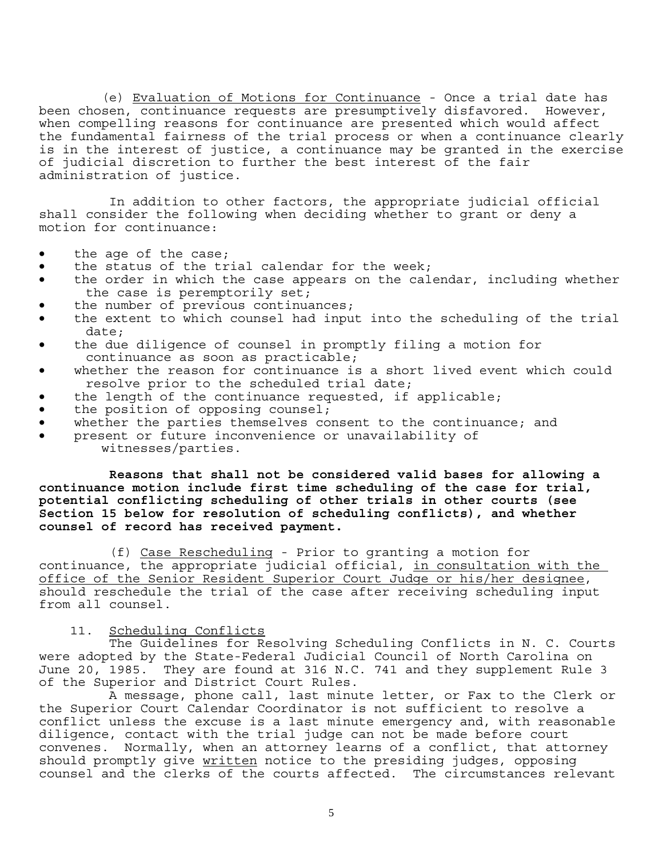(e) Evaluation of Motions for Continuance - Once a trial date has been chosen, continuance requests are presumptively disfavored. However, when compelling reasons for continuance are presented which would affect the fundamental fairness of the trial process or when a continuance clearly is in the interest of justice, a continuance may be granted in the exercise of judicial discretion to further the best interest of the fair administration of justice.

 In addition to other factors, the appropriate judicial official shall consider the following when deciding whether to grant or deny a motion for continuance:

- the age of the case;
- the status of the trial calendar for the week;
- the order in which the case appears on the calendar, including whether the case is peremptorily set;
- the number of previous continuances;
- the extent to which counsel had input into the scheduling of the trial date;
- the due diligence of counsel in promptly filing a motion for continuance as soon as practicable;
- whether the reason for continuance is a short lived event which could resolve prior to the scheduled trial date;
- the length of the continuance requested, if applicable;
- the position of opposing counsel;
- whether the parties themselves consent to the continuance; and
- present or future inconvenience or unavailability of witnesses/parties.

 **Reasons that shall not be considered valid bases for allowing a continuance motion include first time scheduling of the case for trial, potential conflicting scheduling of other trials in other courts (see Section 15 below for resolution of scheduling conflicts), and whether counsel of record has received payment.** 

(f) Case Rescheduling - Prior to granting a motion for continuance, the appropriate judicial official, in consultation with the office of the Senior Resident Superior Court Judge or his/her designee, should reschedule the trial of the case after receiving scheduling input from all counsel.

### 11. Scheduling Conflicts

 The Guidelines for Resolving Scheduling Conflicts in N. C. Courts were adopted by the State-Federal Judicial Council of North Carolina on June 20, 1985. They are found at 316 N.C. 741 and they supplement Rule 3 of the Superior and District Court Rules.

 A message, phone call, last minute letter, or Fax to the Clerk or the Superior Court Calendar Coordinator is not sufficient to resolve a conflict unless the excuse is a last minute emergency and, with reasonable diligence, contact with the trial judge can not be made before court convenes. Normally, when an attorney learns of a conflict, that attorney should promptly give written notice to the presiding judges, opposing counsel and the clerks of the courts affected. The circumstances relevant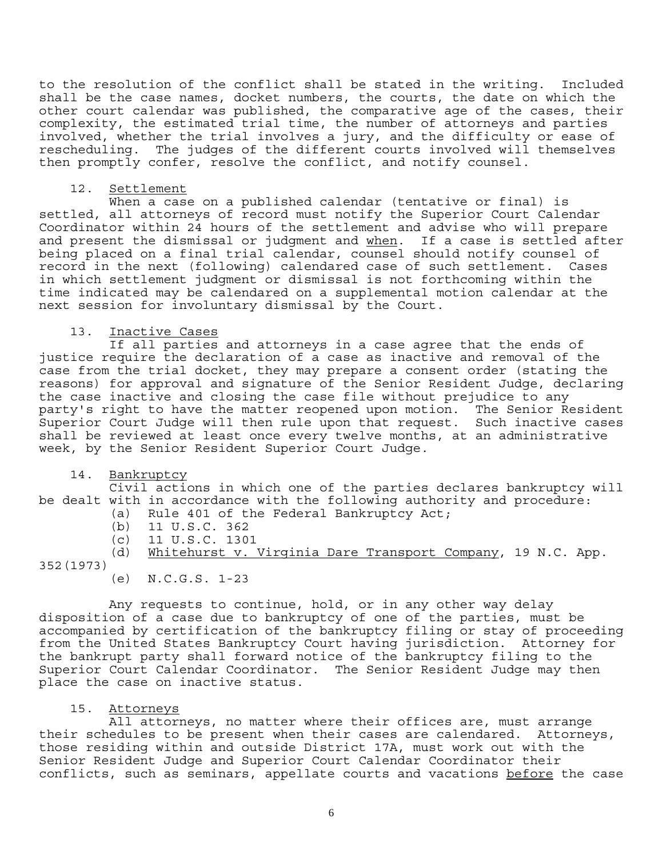to the resolution of the conflict shall be stated in the writing. Included shall be the case names, docket numbers, the courts, the date on which the other court calendar was published, the comparative age of the cases, their complexity, the estimated trial time, the number of attorneys and parties involved, whether the trial involves a jury, and the difficulty or ease of rescheduling. The judges of the different courts involved will themselves then promptly confer, resolve the conflict, and notify counsel.

### 12. Settlement

 When a case on a published calendar (tentative or final) is settled, all attorneys of record must notify the Superior Court Calendar Coordinator within 24 hours of the settlement and advise who will prepare and present the dismissal or judgment and when. If a case is settled after being placed on a final trial calendar, counsel should notify counsel of record in the next (following) calendared case of such settlement. Cases in which settlement judgment or dismissal is not forthcoming within the time indicated may be calendared on a supplemental motion calendar at the next session for involuntary dismissal by the Court.

# 13. Inactive Cases

 If all parties and attorneys in a case agree that the ends of justice require the declaration of a case as inactive and removal of the case from the trial docket, they may prepare a consent order (stating the reasons) for approval and signature of the Senior Resident Judge, declaring the case inactive and closing the case file without prejudice to any party's right to have the matter reopened upon motion. The Senior Resident Superior Court Judge will then rule upon that request. Such inactive cases shall be reviewed at least once every twelve months, at an administrative week, by the Senior Resident Superior Court Judge.

# 14. Bankruptcy

 Civil actions in which one of the parties declares bankruptcy will be dealt with in accordance with the following authority and procedure:

- (a) Rule 401 of the Federal Bankruptcy Act;
	- (b) 11 U.S.C. 362
	- (c) 11 U.S.C. 1301

 (d) Whitehurst v. Virginia Dare Transport Company, 19 N.C. App. 352(1973)

(e) N.C.G.S. 1-23

 Any requests to continue, hold, or in any other way delay disposition of a case due to bankruptcy of one of the parties, must be accompanied by certification of the bankruptcy filing or stay of proceeding from the United States Bankruptcy Court having jurisdiction. Attorney for the bankrupt party shall forward notice of the bankruptcy filing to the Superior Court Calendar Coordinator. The Senior Resident Judge may then place the case on inactive status.

# 15. Attorneys

 All attorneys, no matter where their offices are, must arrange their schedules to be present when their cases are calendared. Attorneys, those residing within and outside District 17A, must work out with the Senior Resident Judge and Superior Court Calendar Coordinator their conflicts, such as seminars, appellate courts and vacations before the case